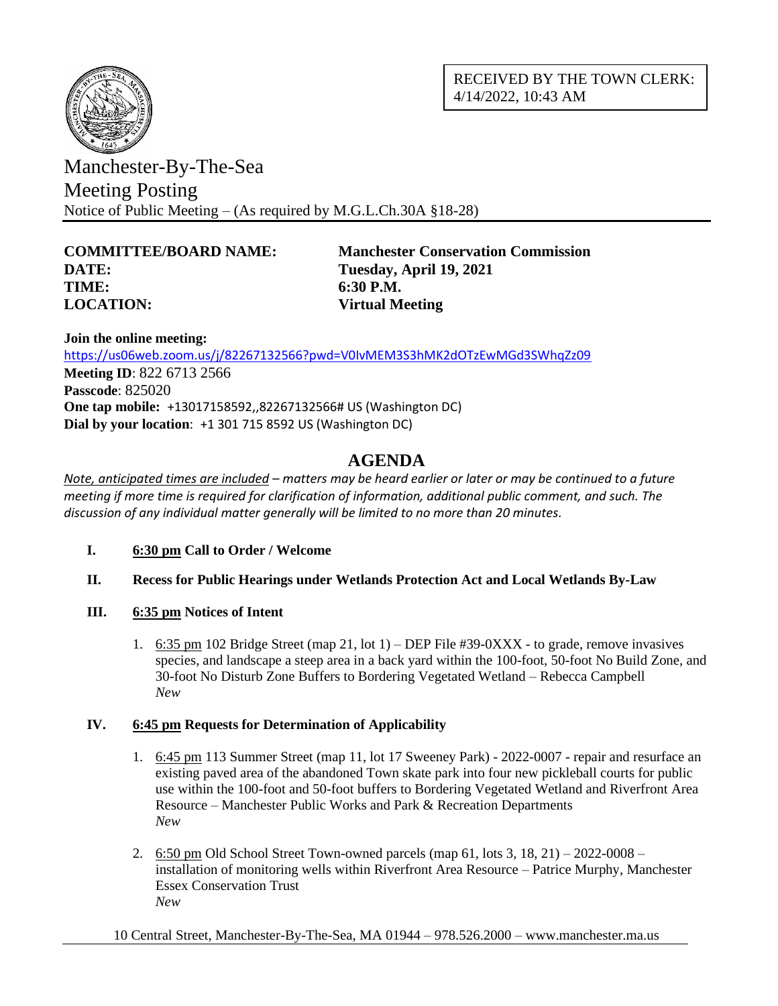

RECEIVED BY THE TOWN CLERK: 4/14/2022, 10:43 AM

Manchester-By-The-Sea Meeting Posting Notice of Public Meeting – (As required by M.G.L.Ch.30A §18-28)

# **DATE: Tuesday, April 19, 2021 TIME: 6:30 P.M. LOCATION: Virtual Meeting**

**COMMITTEE/BOARD NAME: Manchester Conservation Commission**

**Join the online meeting:** <https://us06web.zoom.us/j/82267132566?pwd=V0IvMEM3S3hMK2dOTzEwMGd3SWhqZz09> **Meeting ID**: 822 6713 2566 **Passcode**: 825020 **One tap mobile:** +13017158592,,82267132566# US (Washington DC) **Dial by your location**: +1 301 715 8592 US (Washington DC)

## **AGENDA**

*Note, anticipated times are included – matters may be heard earlier or later or may be continued to a future meeting if more time is required for clarification of information, additional public comment, and such. The discussion of any individual matter generally will be limited to no more than 20 minutes.*

- **I. 6:30 pm Call to Order / Welcome**
- **II. Recess for Public Hearings under Wetlands Protection Act and Local Wetlands By-Law**
- **III. 6:35 pm Notices of Intent**
	- 1. 6:35 pm 102 Bridge Street (map 21, lot  $1$ ) DEP File #39-0XXX to grade, remove invasives species, and landscape a steep area in a back yard within the 100-foot, 50-foot No Build Zone, and 30-foot No Disturb Zone Buffers to Bordering Vegetated Wetland – Rebecca Campbell *New*

### **IV. 6:45 pm Requests for Determination of Applicability**

- 1. 6:45 pm 113 Summer Street (map 11, lot 17 Sweeney Park) 2022-0007 repair and resurface an existing paved area of the abandoned Town skate park into four new pickleball courts for public use within the 100-foot and 50-foot buffers to Bordering Vegetated Wetland and Riverfront Area Resource – Manchester Public Works and Park & Recreation Departments *New*
- 2. 6:50 pm Old School Street Town-owned parcels (map 61, lots 3, 18, 21) 2022-0008 installation of monitoring wells within Riverfront Area Resource – Patrice Murphy, Manchester Essex Conservation Trust *New*